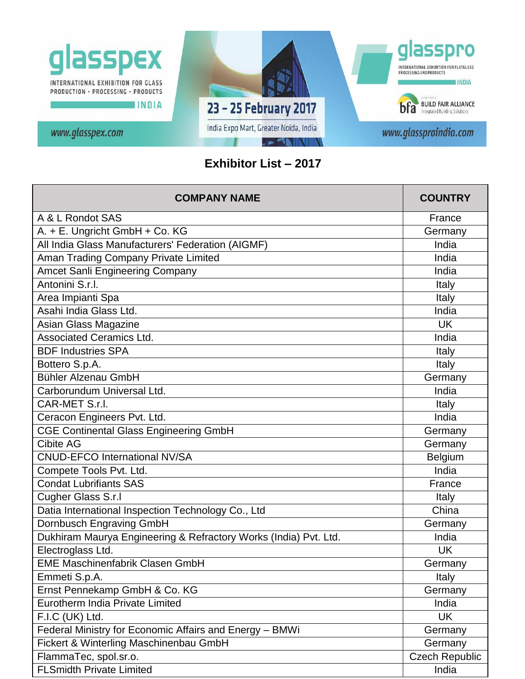

## **Exhibitor List – 2017**

| <b>COMPANY NAME</b>                                              | <b>COUNTRY</b>        |
|------------------------------------------------------------------|-----------------------|
| A & L Rondot SAS                                                 | France                |
| A. + E. Ungricht GmbH + Co. KG                                   | Germany               |
| All India Glass Manufacturers' Federation (AIGMF)                | India                 |
| Aman Trading Company Private Limited                             | India                 |
| <b>Amcet Sanli Engineering Company</b>                           | India                 |
| Antonini S.r.l.                                                  | Italy                 |
| Area Impianti Spa                                                | Italy                 |
| Asahi India Glass Ltd.                                           | India                 |
| Asian Glass Magazine                                             | <b>UK</b>             |
| <b>Associated Ceramics Ltd.</b>                                  | India                 |
| <b>BDF Industries SPA</b>                                        | Italy                 |
| Bottero S.p.A.                                                   | Italy                 |
| Bühler Alzenau GmbH                                              | Germany               |
| Carborundum Universal Ltd.                                       | India                 |
| CAR-MET S.r.l.                                                   | Italy                 |
| Ceracon Engineers Pvt. Ltd.                                      | India                 |
| <b>CGE Continental Glass Engineering GmbH</b>                    | Germany               |
| <b>Cibite AG</b>                                                 | Germany               |
| <b>CNUD-EFCO International NV/SA</b>                             | Belgium               |
| Compete Tools Pvt. Ltd.                                          | India                 |
| <b>Condat Lubrifiants SAS</b>                                    | France                |
| Cugher Glass S.r.l                                               | Italy                 |
| Datia International Inspection Technology Co., Ltd               | China                 |
| <b>Dornbusch Engraving GmbH</b>                                  | Germany               |
| Dukhiram Maurya Engineering & Refractory Works (India) Pvt. Ltd. | India                 |
| Electroglass Ltd.                                                | <b>UK</b>             |
| <b>EME Maschinenfabrik Clasen GmbH</b>                           | Germany               |
| Emmeti S.p.A.                                                    | Italy                 |
| Ernst Pennekamp GmbH & Co. KG                                    | Germany               |
| Eurotherm India Private Limited                                  | India                 |
| F.I.C (UK) Ltd.                                                  | <b>UK</b>             |
| Federal Ministry for Economic Affairs and Energy - BMWi          | Germany               |
| Fickert & Winterling Maschinenbau GmbH                           | Germany               |
| FlammaTec, spol.sr.o.                                            | <b>Czech Republic</b> |
| <b>FLSmidth Private Limited</b>                                  | India                 |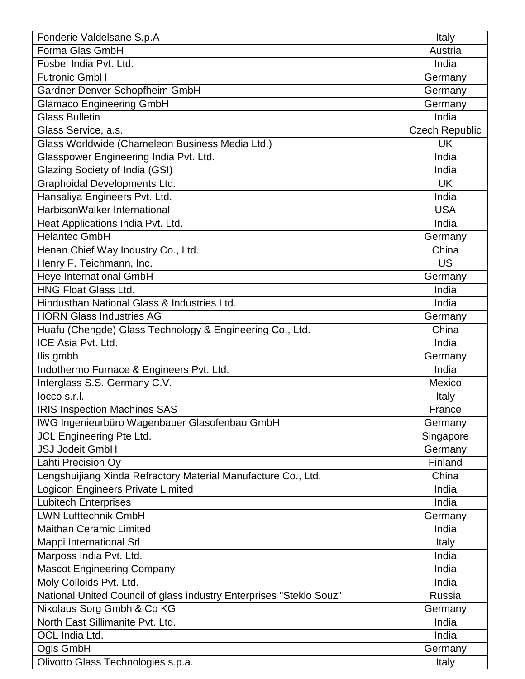| Fonderie Valdelsane S.p.A                                           | Italy          |
|---------------------------------------------------------------------|----------------|
| Forma Glas GmbH                                                     | Austria        |
| Fosbel India Pvt. Ltd.                                              | India          |
| <b>Futronic GmbH</b>                                                | Germany        |
| Gardner Denver Schopfheim GmbH                                      | Germany        |
| <b>Glamaco Engineering GmbH</b>                                     | Germany        |
| <b>Glass Bulletin</b>                                               | India          |
| Glass Service, a.s.                                                 | Czech Republic |
| Glass Worldwide (Chameleon Business Media Ltd.)                     | <b>UK</b>      |
| Glasspower Engineering India Pvt. Ltd.                              | India          |
| Glazing Society of India (GSI)                                      | India          |
| Graphoidal Developments Ltd.                                        | <b>UK</b>      |
| Hansaliya Engineers Pvt. Ltd.                                       | India          |
| HarbisonWalker International                                        | <b>USA</b>     |
| Heat Applications India Pvt. Ltd.                                   | India          |
| <b>Helantec GmbH</b>                                                | Germany        |
| Henan Chief Way Industry Co., Ltd.                                  | China          |
| Henry F. Teichmann, Inc.                                            | <b>US</b>      |
| <b>Heye International GmbH</b>                                      | Germany        |
| <b>HNG Float Glass Ltd.</b>                                         | India          |
| Hindusthan National Glass & Industries Ltd.                         | India          |
| <b>HORN Glass Industries AG</b>                                     | Germany        |
| Huafu (Chengde) Glass Technology & Engineering Co., Ltd.            | China          |
| ICE Asia Pvt. Ltd.                                                  | India          |
| Ilis gmbh                                                           | Germany        |
| Indothermo Furnace & Engineers Pvt. Ltd.                            | India          |
| Interglass S.S. Germany C.V.                                        | Mexico         |
| locco s.r.l.                                                        | Italy          |
| <b>IRIS Inspection Machines SAS</b>                                 | France         |
| IWG Ingenieurbüro Wagenbauer Glasofenbau GmbH                       | Germany        |
| JCL Engineering Pte Ltd.                                            | Singapore      |
| <b>JSJ Jodeit GmbH</b>                                              | Germany        |
| Lahti Precision Oy                                                  | Finland        |
| Lengshuijiang Xinda Refractory Material Manufacture Co., Ltd.       | China          |
| Logicon Engineers Private Limited                                   | India          |
| <b>Lubitech Enterprises</b>                                         | India          |
| <b>LWN Lufttechnik GmbH</b>                                         | Germany        |
| <b>Maithan Ceramic Limited</b>                                      | India          |
| Mappi International Srl                                             | Italy          |
| Marposs India Pvt. Ltd.                                             | India          |
| <b>Mascot Engineering Company</b>                                   | India          |
| Moly Colloids Pvt. Ltd.                                             | India          |
| National United Council of glass industry Enterprises "Steklo Souz" | Russia         |
| Nikolaus Sorg Gmbh & Co KG                                          | Germany        |
| North East Sillimanite Pvt. Ltd.                                    | India          |
| OCL India Ltd.                                                      | India          |
| Ogis GmbH                                                           | Germany        |
| Olivotto Glass Technologies s.p.a.                                  | Italy          |